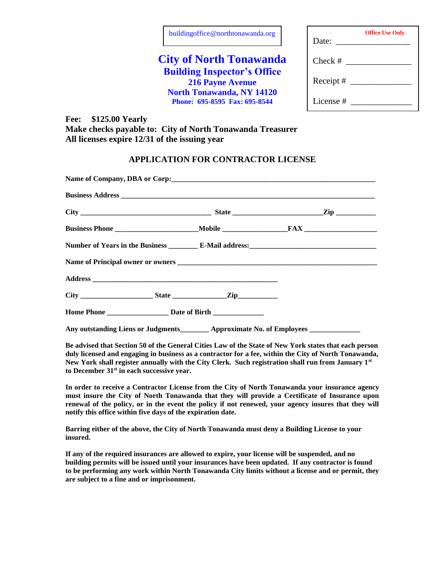| buildingoffice@northtonawanda.org |  |
|-----------------------------------|--|
|-----------------------------------|--|

# **City of North Tonawanda Building Inspector's Office 216 Payne Avenue North Tonawanda, NY 14120 Phone: 695-8595 Fax: 695-8544**

 $Check \#$ Receipt # \_\_\_\_\_\_\_\_\_\_\_\_\_\_ License #

Date:

**Office Use Only**

**Fee: \$125.00 Yearly Make checks payable to: City of North Tonawanda Treasurer All licenses expire 12/31 of the issuing year**

### **APPLICATION FOR CONTRACTOR LICENSE**

|  | Any outstanding Liens or Judgments <b>Example 2</b> Approximate No. of Employees |  |
|--|----------------------------------------------------------------------------------|--|

**Be advised that Section 50 of the General Cities Law of the State of New York states that each person duly licensed and engaging in business as a contractor for a fee, within the City of North Tonawanda, New York shall register annually with the City Clerk. Such registration shall run from January 1st to December 31st in each successive year.**

**In order to receive a Contractor License from the City of North Tonawanda your insurance agency must insure the City of North Tonawanda that they will provide a Certificate of Insurance upon renewal of the policy, or in the event the policy if not renewed, your agency insures that they will notify this office within five days of the expiration date.**

**Barring either of the above, the City of North Tonawanda must deny a Building License to your insured.** 

**If any of the required insurances are allowed to expire, your license will be suspended, and no building permits will be issued until your insurances have been updated. If any contractor is found to be performing any work within North Tonawanda City limits without a license and or permit, they are subject to a fine and or imprisonment.**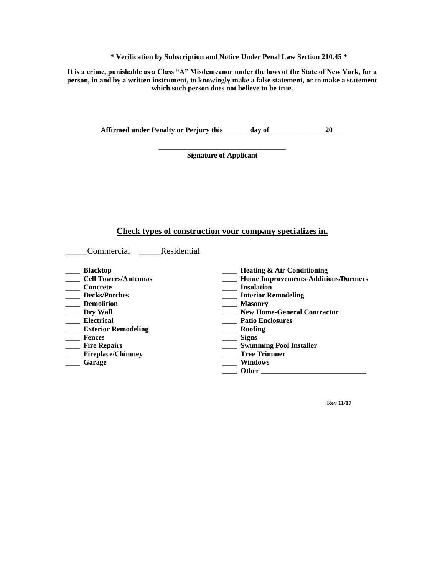**\* Verification by Subscription and Notice Under Penal Law Section 210.45 \***

**It is a crime, punishable as a Class "A" Misdemeanor under the laws of the State of New York, for a person, in and by a written instrument, to knowingly make a false statement, or to make a statement which such person does not believe to be true.**

Affirmed under Penalty or Perjury this day of <u>equal of any set of  $\frac{20}{\sqrt{25}}$ </u>

**\_\_\_\_\_\_\_\_\_\_\_\_\_\_\_\_\_\_\_\_\_\_\_\_\_\_\_\_\_\_\_\_\_\_\_ Signature of Applicant**

# **Check types of construction your company specializes in.**

| Residential<br>Commercial                                                                                                                                                                                                                            |                                                                                                                                                                                                                                                                                                                                 |
|------------------------------------------------------------------------------------------------------------------------------------------------------------------------------------------------------------------------------------------------------|---------------------------------------------------------------------------------------------------------------------------------------------------------------------------------------------------------------------------------------------------------------------------------------------------------------------------------|
| <b>Blacktop</b><br><b>Cell Towers/Antennas</b><br>Concrete<br><b>Decks/Porches</b><br><b>Demolition</b><br>Dry Wall<br><b>Electrical</b><br><b>Exterior Remodeling</b><br><b>Fences</b><br><b>Fire Repairs</b><br><b>Fireplace/Chimney</b><br>Garage | <b>Heating &amp; Air Conditioning</b><br><b>Home Improvements-Additions/Dormers</b><br><b>Insulation</b><br><b>Interior Remodeling</b><br><b>Masonry</b><br><b>New Home-General Contractor</b><br><b>Patio Enclosures</b><br>Roofing<br><b>Signs</b><br><b>Swimming Pool Installer</b><br><b>Tree Trimmer</b><br><b>Windows</b> |
|                                                                                                                                                                                                                                                      | <b>Other</b>                                                                                                                                                                                                                                                                                                                    |

**Rev 11/17**